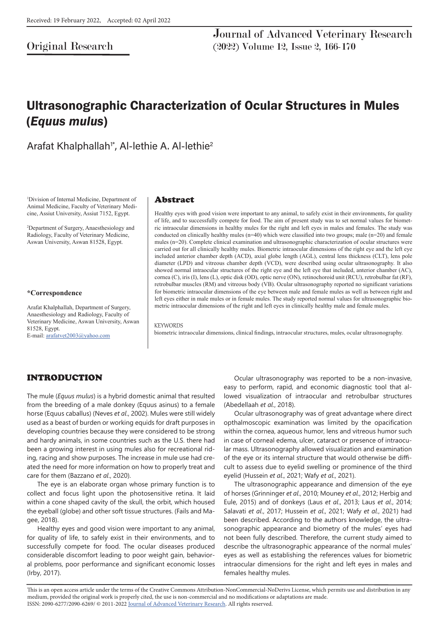Original Research

Journal of Advanced Veterinary Research (2022) Volume 12, Issue 2, 166-170

# Ultrasonographic Characterization of Ocular Structures in Mules (*Equus mulus*)

Arafat Khalphallah<sup>1\*</sup>, Al-lethie A. Al-lethie<sup>2</sup>

1 Division of Internal Medicine, Department of Animal Medicine, Faculty of Veterinary Medicine, Assiut University, Assiut 7152, Egypt.

2 Department of Surgery, Anaesthesiology and Radiology, Faculty of Veterinary Medicine, Aswan University, Aswan 81528, Egypt.

#### **\*Correspondence**

Arafat Khalphallah, Department of Surgery, Anaesthesiology and Radiology, Faculty of Veterinary Medicine, Aswan University, Aswan 81528, Egypt.

E-mail: arafatvet2003@yahoo.com

### Abstract

Healthy eyes with good vision were important to any animal, to safely exist in their environments, for quality of life, and to successfully compete for food. The aim of present study was to set normal values for biometric intraocular dimensions in healthy mules for the right and left eyes in males and females. The study was conducted on clinically healthy mules ( $n=40$ ) which were classified into two groups; male  $(n=20)$  and female mules (n=20). Complete clinical examination and ultrasonographic characterization of ocular structures were carried out for all clinically healthy mules. Biometric intraocular dimensions of the right eye and the left eye included anterior chamber depth (ACD), axial globe length (AGL), central lens thickness (CLT), lens pole diameter (LPD) and vitreous chamber depth (VCD), were described using ocular ultrasonography. It also showed normal intraocular structures of the right eye and the left eye that included, anterior chamber (AC), cornea (C), iris (I), lens (L), optic disk (OD), optic nerve (ON), retinochoroid unit (RCU), retrobulbar fat (RF), retrobulbar muscles (RM) and vitreous body (VB). Ocular ultrasonography reported no significant variations for biometric intraocular dimensions of the eye between male and female mules as well as between right and left eyes either in male mules or in female mules. The study reported normal values for ultrasonographic biometric intraocular dimensions of the right and left eyes in clinically healthy male and female mules.

#### **KEYWORDS**

biometric intraocular dimensions, clinical findings, intraocular structures, mules, ocular ultrasonography.

# INTRODUCTION

The mule (*Equus mulus*) is a hybrid domestic animal that resulted from the breeding of a male donkey (Equus asinus) to a female horse (Equus caballus) (Neves *et al*., 2002). Mules were still widely used as a beast of burden or working equids for draft purposes in developing countries because they were considered to be strong and hardy animals, in some countries such as the U.S. there had been a growing interest in using mules also for recreational riding, racing and show purposes. The increase in mule use had created the need for more information on how to properly treat and care for them (Bazzano *et al*., 2020).

The eye is an elaborate organ whose primary function is to collect and focus light upon the photosensitive retina. It laid within a cone shaped cavity of the skull, the orbit, which housed the eyeball (globe) and other soft tissue structures. (Fails and Magee, 2018).

Healthy eyes and good vision were important to any animal, for quality of life, to safely exist in their environments, and to successfully compete for food. The ocular diseases produced considerable discomfort leading to poor weight gain, behavioral problems, poor performance and significant economic losses (Irby, 2017).

Ocular ultrasonography was reported to be a non-invasive, easy to perform, rapid, and economic diagnostic tool that allowed visualization of intraocular and retrobulbar structures (Abedellaah *et al*., 2018).

Ocular ultrasonography was of great advantage where direct opthalmoscopic examination was limited by the opacification within the cornea, aqueous humor, lens and vitreous humor such in case of corneal edema, ulcer, cataract or presence of intraocular mass. Ultrasonography allowed visualization and examination of the eye or its internal structure that would otherwise be difficult to assess due to eyelid swelling or prominence of the third eyelid (Hussein *et al*., 2021; Wafy *et al*., 2021).

The ultrasonographic appearance and dimension of the eye of horses (Grinninger *et al*., 2010; Mouney *et al*., 2012; Herbig and Eule, 2015) and of donkeys (Laus *et al*., 2013; Laus *et al*., 2014; Salavati *et al*., 2017; Hussein *et al*., 2021; Wafy *et al*., 2021) had been described. According to the authors knowledge, the ultrasonographic appearance and biometry of the mules' eyes had not been fully described. Therefore, the current study aimed to describe the ultrasonographic appearance of the normal mules' eyes as well as establishing the references values for biometric intraocular dimensions for the right and left eyes in males and females healthy mules.

This is an open access article under the terms of the Creative Commons Attribution-NonCommercial-NoDerivs License, which permits use and distribution in any medium, provided the original work is properly cited, the use is non-commercial and no modifications or adaptations are made. ISSN: 2090-6277/2090-6269/ © 2011-2022 Journal of Advanced Veterinary Research. All rights reserved.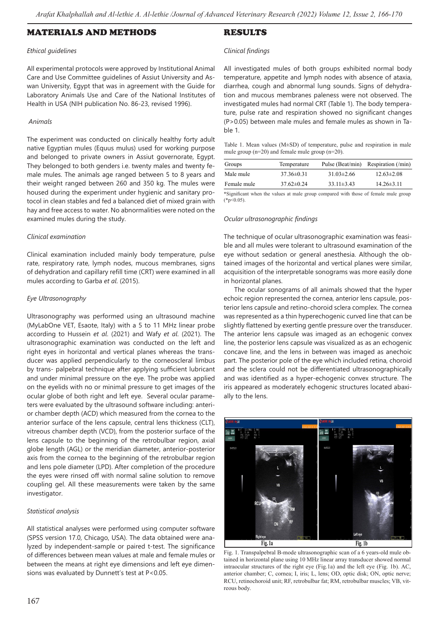## MATERIALS AND METHODS

### *Ethical guidelines*

All experimental protocols were approved by Institutional Animal Care and Use Committee guidelines of Assiut University and Aswan University, Egypt that was in agreement with the Guide for Laboratory Animals Use and Care of the National Institutes of Health in USA (NIH publication No. 86-23, revised 1996).

### *Animals*

The experiment was conducted on clinically healthy forty adult native Egyptian mules (Equus mulus) used for working purpose and belonged to private owners in Assiut governorate, Egypt. They belonged to both genders i.e. twenty males and twenty female mules. The animals age ranged between 5 to 8 years and their weight ranged between 260 and 350 kg. The mules were housed during the experiment under hygienic and sanitary protocol in clean stables and fed a balanced diet of mixed grain with hay and free access to water. No abnormalities were noted on the examined mules during the study.

#### *Clinical examination*

Clinical examination included mainly body temperature, pulse rate, respiratory rate, lymph nodes, mucous membranes, signs of dehydration and capillary refill time (CRT) were examined in all mules according to Garba *et al*. (2015).

### *Eye Ultrasonography*

Ultrasonography was performed using an ultrasound machine (MyLabOne VET, Esaote, Italy) with a 5 to 11 MHz linear probe according to Hussein *et al*. (2021) and Wafy *et al*. (2021). The ultrasonographic examination was conducted on the left and right eyes in horizontal and vertical planes whereas the transducer was applied perpendicularly to the corneoscleral limbus by trans- palpebral technique after applying sufficient lubricant and under minimal pressure on the eye. The probe was applied on the eyelids with no or minimal pressure to get images of the ocular globe of both right and left eye. Several ocular parameters were evaluated by the ultrasound software including: anterior chamber depth (ACD) which measured from the cornea to the anterior surface of the lens capsule, central lens thickness (CLT), vitreous chamber depth (VCD), from the posterior surface of the lens capsule to the beginning of the retrobulbar region, axial globe length (AGL) or the meridian diameter, anterior-posterior axis from the cornea to the beginning of the retrobulbar region and lens pole diameter (LPD). After completion of the procedure the eyes were rinsed off with normal saline solution to remove coupling gel. All these measurements were taken by the same investigator.

### *Statistical analysis*

All statistical analyses were performed using computer software (SPSS version 17.0, Chicago, USA). The data obtained were analyzed by independent-sample or paired t-test. The significance of differences between mean values at male and female mules or between the means at right eye dimensions and left eye dimensions was evaluated by Dunnett's test at P<0.05.

## RESULTS

#### *Clinical findings*

All investigated mules of both groups exhibited normal body temperature, appetite and lymph nodes with absence of ataxia, diarrhea, cough and abnormal lung sounds. Signs of dehydration and mucous membranes paleness were not observed. The investigated mules had normal CRT (Table 1). The body temperature, pulse rate and respiration showed no significant changes (P>0.05) between male mules and female mules as shown in Table 1.

| Table 1. Mean values $(M\pm SD)$ of temperature, pulse and respiration in male |  |  |
|--------------------------------------------------------------------------------|--|--|
| mule group ( $n=20$ ) and female mule group ( $n=20$ ).                        |  |  |

| Groups      | Temperature      | Pulse (Beat/min) | Respiration (/min) |
|-------------|------------------|------------------|--------------------|
| Male mule   | $37.36\pm0.31$   | $31.03 \pm 2.66$ | $12.63 \pm 2.08$   |
| Female mule | $37.62 \pm 0.24$ | $33.11 \pm 3.43$ | $14.26 \pm 3.11$   |
|             |                  |                  |                    |

\*Significant when the values at male group compared with those of female mule group  $(*p<0.05)$ 

### *Ocular ultrasonographic findings*

The technique of ocular ultrasonographic examination was feasible and all mules were tolerant to ultrasound examination of the eye without sedation or general anesthesia. Although the obtained images of the horizontal and vertical planes were similar, acquisition of the interpretable sonograms was more easily done in horizontal planes.

The ocular sonograms of all animals showed that the hyper echoic region represented the cornea, anterior lens capsule, posterior lens capsule and retino-choroid sclera complex. The cornea was represented as a thin hyperechogenic curved line that can be slightly flattened by exerting gentle pressure over the transducer. The anterior lens capsule was imaged as an echogenic convex line, the posterior lens capsule was visualized as as an echogenic concave line, and the lens in between was imaged as anechoic part. The posterior pole of the eye which included retina, choroid and the sclera could not be differentiated ultrasonographically and was identified as a hyper-echogenic convex structure. The iris appeared as moderately echogenic structures located abaxially to the lens.



Fig. 1. Transpalpebral B-mode ultrasonographic scan of a 6 years-old mule obtained in horizontal plane using 10 MHz linear array transducer showed normal intraocular structures of the right eye (Fig.1a) and the left eye (Fig. 1b). AC, anterior chamber; C, cornea; I, iris; L, lens; OD, optic disk; ON, optic nerve; RCU, retinochoroid unit; RF, retrobulbar fat; RM, retrobulbar muscles; VB, vitreous body.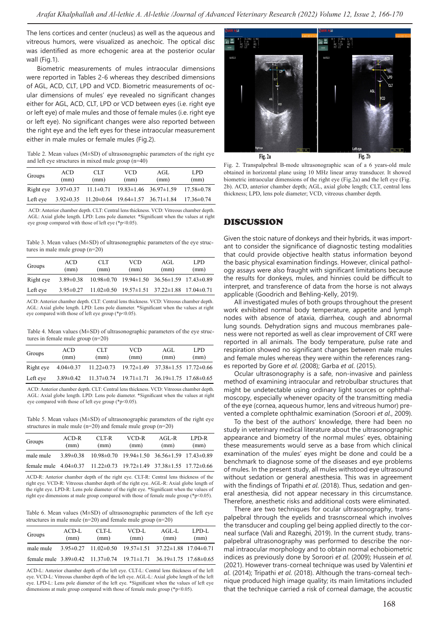The lens cortices and center (nucleus) as well as the aqueous and vitreous humors, were visualized as anechoic. The optical disc was identified as more echogenic area at the posterior ocular wall (Fig.1).

Biometric measurements of mules intraocular dimensions were reported in Tables 2-6 whereas they described dimensions of AGL, ACD, CLT, LPD and VCD. Biometric measurements of ocular dimensions of mules' eye revealed no significant changes either for AGL, ACD, CLT, LPD or VCD between eyes (i.e. right eye or left eye) of male mules and those of female mules (i.e. right eye or left eye). No significant changes were also reported between the right eye and the left eyes for these intraocular measurement either in male mules or female mules (Fig.2).

Table 2. Mean values (M±SD) of ultrasonographic parameters of the right eye and left eye structures in mixed mule group (n=40)

| Groups   | ACD<br>(mm) | CLT<br>(mm)                                                            | <b>VCD</b><br>(mm) | AGL<br>(mm) | LPD.<br>(mm)     |
|----------|-------------|------------------------------------------------------------------------|--------------------|-------------|------------------|
|          |             | Right eye $3.97\pm0.37$ 11.1 $\pm0.71$ 19.83 $\pm1.46$ 36.97 $\pm1.59$ |                    |             | $17.58 \pm 0.78$ |
| Left eye |             | $3.92\pm0.35$ 11.20 $\pm$ 0.64 19.64 $\pm$ 1.57 36.71 $\pm$ 1.84       |                    |             | $17.36 \pm 0.74$ |

 ACD: Anterior chamber depth. CLT: Central lens thickness. VCD: Vitreous chamber depth. AGL: Axial globe length. LPD: Lens pole diameter. \*Significant when the values at right eye group compared with those of left eye ( $*$ p<0.05).

Table 3. Mean values (M±SD) of ultrasonographic parameters of the eye structures in male mule group (n=20)

| Groups    | ACD<br>(mm)     | CLT<br>(mm) | VCD<br>(mm)                                                         | AGL<br>(mm) | LPD.<br>(mm) |
|-----------|-----------------|-------------|---------------------------------------------------------------------|-------------|--------------|
| Right eye | $3.89 \pm 0.38$ |             | $10.98\pm0.70$ $19.94\pm1.50$ $36.56\pm1.59$ $17.43\pm0.89$         |             |              |
| Left eye  | $3.95 \pm 0.27$ |             | $11.02 \pm 0.50$ $19.57 \pm 1.51$ $37.22 \pm 1.88$ $17.04 \pm 0.71$ |             |              |

ACD: Anterior chamber depth. CLT: Central lens thickness. VCD: Vitreous chamber depth. AGL: Axial globe length. LPD: Lens pole diameter. \*Significant when the values at right eye compared with those of left eye group (\*p<0.05).

Table 4. Mean values ( $M\pm SD$ ) of ultrasonographic parameters of the eye structures in female mule group (n=20)

| Groups    | <b>ACD</b><br>(mm) | CLT<br>(mm)                                                         | <b>VCD</b><br>(mm)                                          | AGL<br>(mm) | LPD.<br>(mm) |
|-----------|--------------------|---------------------------------------------------------------------|-------------------------------------------------------------|-------------|--------------|
| Right eye | $4.04 \pm 0.37$    | $11.22 \pm 0.73$ $19.72 \pm 1.49$ $37.38 \pm 1.55$ $17.72 \pm 0.66$ |                                                             |             |              |
| Left eye  | $3.89 \pm 0.42$    |                                                                     | $11.37\pm0.74$ $19.71\pm1.71$ $36.19\pm1.75$ $17.68\pm0.65$ |             |              |

ACD: Anterior chamber depth. CLT: Central lens thickness. VCD: Vitreous chamber depth. AGL: Axial globe length. LPD: Lens pole diameter. \*Significant when the values at right eye compared with those of left eye group ( $*$ p<0.05).

Table 5. Mean values (M±SD) of ultrasonographic parameters of the right eye structures in male mule (n=20) and female mule group (n=20)

| Groups                                                                                | ACD-R<br>(mm) | CLT-R<br>(mm)                                                             | VCD-R<br>(mm) | AGL-R<br>(mm) | LPD-R<br>(mm) |
|---------------------------------------------------------------------------------------|---------------|---------------------------------------------------------------------------|---------------|---------------|---------------|
| male mule                                                                             |               | $3.89\pm0.38$ $10.98\pm0.70$ $19.94\pm1.50$ $36.56\pm1.59$ $17.43\pm0.89$ |               |               |               |
| female mule $4.04\pm0.37$ $11.22\pm0.73$ $19.72\pm1.49$ $37.38\pm1.55$ $17.72\pm0.66$ |               |                                                                           |               |               |               |

ACD-R: Anterior chamber depth of the right eye. CLT-R: Central lens thickness of the right eye. VCD-R: Vitreous chamber depth of the right eye. AGL-R: Axial globe length of the right eye. LPD-R: Lens pole diameter of the right eye. \*Significant when the values of right eye dimensions at male group compared with those of female mule group (\*p<0.05).

Table 6. Mean values (M±SD) of ultrasonographic parameters of the left eye structures in male mule (n=20) and female mule group (n=20)

| Groups    | $ACD-L$<br>(mm) | CLT-L<br>(mm) | VCD-L<br>(mm)                                                                                 | $AGL-L$<br>(mm) | LPD-L<br>(mm) |
|-----------|-----------------|---------------|-----------------------------------------------------------------------------------------------|-----------------|---------------|
| male mule |                 |               | $3.95\pm0.27$ $11.02\pm0.50$ $19.57\pm1.51$ $37.22\pm1.88$ $17.04\pm0.71$                     |                 |               |
|           |                 |               | female mule $3.89\pm0.42$ 11.37 $\pm$ 0.74 19.71 $\pm$ 1.71 36.19 $\pm$ 1.75 17.68 $\pm$ 0.65 |                 |               |

ACD-L: Anterior chamber depth of the left eye. CLT-L: Central lens thickness of the left eye. VCD-L: Vitreous chamber depth of the left eye. AGL-L: Axial globe length of the left eye. LPD-L: Lens pole diameter of the left eye. \*Significant when the values of left eye dimensions at male group compared with those of female mule group (\*p<0.05).



Fig. 2. Transpalpebral B-mode ultrasonographic scan of a 6 years-old mule obtained in horizontal plane using 10 MHz linear array transducer. It showed biometric intraocular dimensions of the right eye (Fig.2a) and the left eye (Fig. 2b). ACD, anterior chamber depth; AGL, axial globe length; CLT, central lens thickness; LPD, lens pole diameter; VCD, vitreous chamber depth.

## DISCUSSION

Given the stoic nature of donkeys and their hybrids, it was important to consider the significance of diagnostic testing modalities that could provide objective health status information beyond the basic physical examination findings. However, clinical pathology assays were also fraught with significant limitations because the results for donkeys, mules, and hinnies could be difficult to interpret, and transference of data from the horse is not always applicable (Goodrich and Behling-Kelly, 2019).

All investigated mules of both groups throughout the present work exhibited normal body temperature, appetite and lymph nodes with absence of ataxia, diarrhea, cough and abnormal lung sounds. Dehydration signs and mucous membranes paleness were not reported as well as clear improvement of CRT were reported in all animals. The body temperature, pulse rate and respiration showed no significant changes between male mules and female mules whereas they were within the references ranges reported by Gore *et al*. (2008); Garba *et al*. (2015).

Ocular ultrasonography is a safe, non-invasive and painless method of examining intraocular and retrobulbar structures that might be undetectable using ordinary light sources or ophthalmoscopy, especially whenever opacity of the transmitting media of the eye (cornea, aqueous humor, lens and vitreous humor) prevented a complete ophthalmic examination (Soroori *et al*., 2009).

To the best of the authors' knowledge, there had been no study in veterinary medical literature about the ultrasonographic appearance and biometry of the normal mules' eyes, obtaining these measurements would serve as a base from which clinical examination of the mules' eyes might be done and could be a benchmark to diagnose some of the diseases and eye problems of mules. In the present study, all mules withstood eye ultrasound without sedation or general anesthesia. This was in agreement with the findings of Tripathi *et al*. (2018). Thus, sedation and general anesthesia, did not appear necessary in this circumstance. Therefore, anesthetic risks and additional costs were eliminated.

There are two techniques for ocular ultrasonography, transpalpebral through the eyelids and trasnscorneal which involves the transducer and coupling gel being applied directly to the corneal surface (Vali and Razeghi, 2019). In the current study, transpalpebral ultrasonography was performed to describe the normal intraocular morphology and to obtain normal echobiometric indices as previously done by Soroori *et al*. (2009); Hussein *et al*. (2021). However trans-corneal technique was used by Valentini *et al*. (2014); Tripathi *et al*. (2018). Although the trans-corneal technique produced high image quality; its main limitations included that the technique carried a risk of corneal damage, the acoustic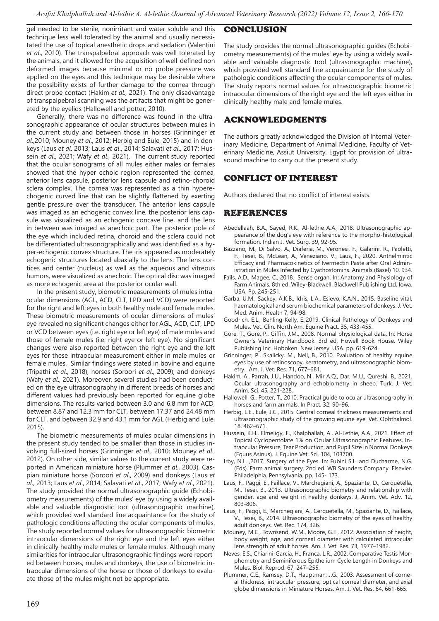gel needed to be sterile, nonirritant and water soluble and this technique less well tolerated by the animal and usually necessitated the use of topical anesthetic drops and sedation (Valentini *et al*., 2010). The transpalpebral approach was well tolerated by the animals, and it allowed for the acquisition of well-defined non deformed images because minimal or no probe pressure was applied on the eyes and this technique may be desirable where the possibility exists of further damage to the cornea through direct probe contact (Hakim *et al*., 2021). The only disadvantage of transpalpebral scanning was the artifacts that might be generated by the eyelids (Hallowell and potter, 2010).

Generally, there was no difference was found in the ultrasonographic appearance of ocular structures between mules in the current study and between those in horses (Grinninger *et al*.,2010; Mouney *et al*., 2012; Herbig and Eule, 2015) and in donkeys (Laus *et al*. 2013; Laus *et al*., 2014; Salavati *et al*., 2017; Hussein *et al*., 2021; Wafy *et al*., 2021). The current study reported that the ocular sonograms of all mules either males or females showed that the hyper echoic region represented the cornea, anterior lens capsule, posterior lens capsule and retino-choroid sclera complex. The cornea was represented as a thin hyperechogenic curved line that can be slightly flattened by exerting gentle pressure over the transducer. The anterior lens capsule was imaged as an echogenic convex line, the posterior lens capsule was visualized as an echogenic concave line, and the lens in between was imaged as anechoic part. The posterior pole of the eye which included retina, choroid and the sclera could not be differentiated ultrasonographically and was identified as a hyper-echogenic convex structure. The iris appeared as moderately echogenic structures located abaxially to the lens. The lens cortices and center (nucleus) as well as the aqueous and vitreous humors, were visualized as anechoic. The optical disc was imaged as more echogenic area at the posterior ocular wall.

In the present study, biometric measurements of mules intraocular dimensions (AGL, ACD, CLT, LPD and VCD) were reported for the right and left eyes in both healthy male and female mules. These biometric measurements of ocular dimensions of mules' eye revealed no significant changes either for AGL, ACD, CLT, LPD or VCD between eyes (i.e. right eye or left eye) of male mules and those of female mules (i.e. right eye or left eye). No significant changes were also reported between the right eye and the left eyes for these intraocular measurement either in male mules or female mules. Similar findings were stated in bovine and equine (Tripathi *et al*., 2018), horses (Soroori *et al*., 2009), and donkeys (Wafy *et al*., 2021). Moreover, several studies had been conducted on the eye ultrasonography in different breeds of horses and different values had previously been reported for equine globe dimensions. The results varied between 3.0 and 6.8 mm for ACD, between 8.87 and 12.3 mm for CLT, between 17.37 and 24.48 mm for CLT, and between 32.9 and 43.1 mm for AGL (Herbig and Eule, 2015).

The biometric measurements of mules ocular dimensions in the present study tended to be smaller than those in studies involving full-sized horses (Grinninger *et al*., 2010; Mouney *et al*., 2012). On other side, similar values to the current study were reported in American miniature horse (Plummer *et al*., 2003), Caspian miniature horse (Soroori *et al*., 2009) and donkeys (Laus *et al*., 2013; Laus *et al*., 2014; Salavati *et al*., 2017; Wafy *et al*., 2021). The study provided the normal ultrasonographic guide (Echobiometry measurements) of the mules' eye by using a widely available and valuable diagnostic tool (ultrasonographic machine), which provided well standard line acquaintance for the study of pathologic conditions affecting the ocular components of mules. The study reported normal values for ultrasonographic biometric intraocular dimensions of the right eye and the left eyes either in clinically healthy male mules or female mules. Although many similarities for intraocular ultrasonographic findings were reported between horses, mules and donkeys, the use of biometric intraocular dimensions of the horse or those of donkeys to evaluate those of the mules might not be appropriate.

## CONCLUSION

The study provides the normal ultrasonographic guides (Echobiometry measurements) of the mules' eye by using a widely available and valuable diagnostic tool (ultrasonographic machine), which provided well standard line acquaintance for the study of pathologic conditions affecting the ocular components of mules. The study reports normal values for ultrasonographic biometric intraocular dimensions of the right eye and the left eyes either in clinically healthy male and female mules.

## ACKNOWLEDGMENTS

The authors greatly acknowledged the Division of Internal Veterinary Medicine, Department of Animal Medicine, Faculty of Veterinary Medicine, Assiut University, Egypt for provision of ultrasound machine to carry out the present study.

## CONFLICT OF INTEREST

Authors declared that no conflict of interest exists.

## REFERENCES

- Abedellaah, B.A., Sayed, R.K., Al-lethie A.A., 2018. Ultrasonographic appearance of the dog's eye with reference to the morpho-histological formation. Indian J. Vet. Surg. 39, 92-95.
- Bazzano, M., Di Salvo, A., Diaferia, M., Veronesi, F., Galarini, R., Paoletti, F., Tesei, B., McLean, A., Veneziano, V., Laus, F., 2020. Anthelmintic Efficacy and Pharmacokinetics of Ivermectin Paste after Oral Administration in Mules Infected by Cyathostomins. Animals (Basel) 10, 934.
- Fails, A.D., Magee, C., 2018. Sense organ. In: Anatomy and Physiology of Farm Animals. 8th ed. Wiley-Blackwell. Blackwell Publishing Ltd. Iowa. USA. Pp. 245-251.
- Garba, U.M., Sackey, A.K.B., Idris, L.A., Esievo, K.A.N., 2015. Baseline vital, haematological and serum biochemical parameters of donkeys. J. Vet. Med. Anim. Health 7, 94-98.
- Goodrich, E.L., Behling-Kelly, E.,2019. Clinical Pathology of Donkeys and Mules. Vet. Clin. North Am. Equine Pract. 35, 433-455.
- Gore, T., Gore, P., Giffin, J.M., 2008. Normal physiological data. In: Horse Owner's Veterinary Handbook. 3rd ed. Howell Book House. Wiley Publishing Inc. Hoboken. New Jersey. USA. pp. 619-624.
- Grinninger, P., Skalicky, M., Nell, B., 2010. Evaluation of healthy equine eyes by use of retinoscopy, keratometry, and ultrasonographic biometry. Am. J. Vet. Res. 71, 677–681.
- Hakim, A., Parrah, J.U., Handoo, N., Mir A.Q., Dar, M.U., Qureshi, B., 2021. Ocular ultrasonography and echobiometry in sheep. Turk. J. Vet. Anim. Sci. 45, 221-228.
- Hallowell, G., Potter, T., 2010. Practical guide to ocular ultrasonography in horses and farm animals. In Pract. 32, 90–96.
- Herbig, L.E., Eule, J.C., 2015. Central corneal thickness measurements and ultrasonographic study of the growing equine eye. Vet. Ophthalmol. 18, 462–671.
- Hussein, K.H., Elmeligy, E., Khalphallah, A., Al-Lethie, A.A., 2021. Effect of Topical Cyclopentolate 1% on Ocular Ultrasonographic Features, Intraocular Pressure, Tear Production, and Pupil Size in Normal Donkeys (Equus Asinus). J. Equine Vet. Sci. 104, 103700.
- Irby, N.L. ,2017. Surgery of the Eyes. In: Fubini S.L. and Ducharme, N.G. (Eds). Farm animal surgery. 2nd ed. WB Saunders Company. Elsevier. Philadelphia. Pennsylvania. pp. 145- 173.
- Laus, F., Paggi, E., Faillace, V., Marchegiani, A., Spaziante, D., Cerquetella, M., Tesei, B., 2013. Ultrasonographic biometry and relationship with gender, age and weight in healthy donkeys. J. Anim. Vet. Adv. 12, 803-806.
- Laus, F., Paggi, E., Marchegiani, A., Cerquetella, M., Spaziante, D., Faillace, V., Tesei, B., 2014. Ultrasonographic biometry of the eyes of healthy adult donkeys. Vet. Rec. 174, 326.
- Mouney, M.C., Townsend, W.M., Moore, G.E., 2012. Association of height, body weight, age, and corneal diameter with calculated intraocular lens strength of adult horses. Am. J. Vet. Res. 73, 1977–1982.
- Neves, E.S., Chiarini-Garcia, H., Franca, L.R., 2002. Comparative Testis Morphometry and Seminiferous Epithelium Cycle Length in Donkeys and Mules. Biol. Reprod. 67, 247–255.
- Plummer, C.E., Ramsey, D.T., Hauptman, J.G., 2003. Assessment of corneal thickness, intraocular pressure, optical corneal diameter, and axial globe dimensions in Miniature Horses. Am. J. Vet. Res. 64, 661-665.